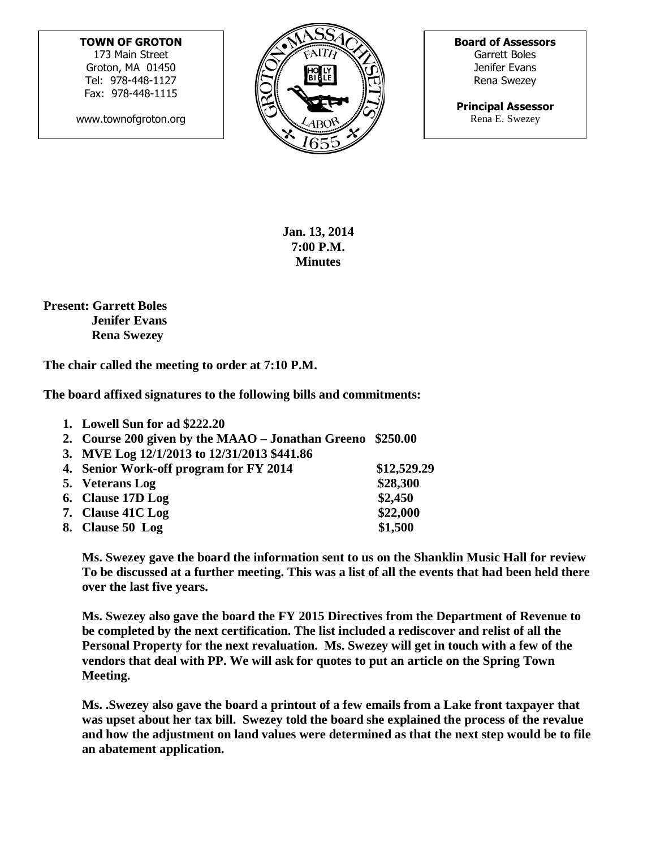## **TOWN OF GROTON**

173 Main Street Groton, MA 01450 Tel: 978-448-1127 Fax: 978-448-1115

www.townofgroton.org



**Board of Assessors** Garrett Boles Jenifer Evans Rena Swezey

**Principal Assessor** Rena E. Swezey

**Jan. 13, 2014 7:00 P.M. Minutes**

**Present: Garrett Boles Jenifer Evans Rena Swezey**

**The chair called the meeting to order at 7:10 P.M.**

**The board affixed signatures to the following bills and commitments:**

| 1. Lowell Sun for ad \$222.20                              |             |
|------------------------------------------------------------|-------------|
| 2. Course 200 given by the MAAO – Jonathan Greeno \$250.00 |             |
| 3. MVE Log 12/1/2013 to 12/31/2013 \$441.86                |             |
| 4. Senior Work-off program for FY 2014                     | \$12,529.29 |
| 5. Veterans Log                                            | \$28,300    |
| 6. Clause 17D Log                                          | \$2,450     |
| 7. Clause 41C Log                                          | \$22,000    |
| 8. Clause 50 Log                                           | \$1,500     |

**Ms. Swezey gave the board the information sent to us on the Shanklin Music Hall for review To be discussed at a further meeting. This was a list of all the events that had been held there over the last five years.**

**Ms. Swezey also gave the board the FY 2015 Directives from the Department of Revenue to be completed by the next certification. The list included a rediscover and relist of all the Personal Property for the next revaluation. Ms. Swezey will get in touch with a few of the vendors that deal with PP. We will ask for quotes to put an article on the Spring Town Meeting.**

**Ms. .Swezey also gave the board a printout of a few emails from a Lake front taxpayer that was upset about her tax bill. Swezey told the board she explained the process of the revalue and how the adjustment on land values were determined as that the next step would be to file an abatement application.**